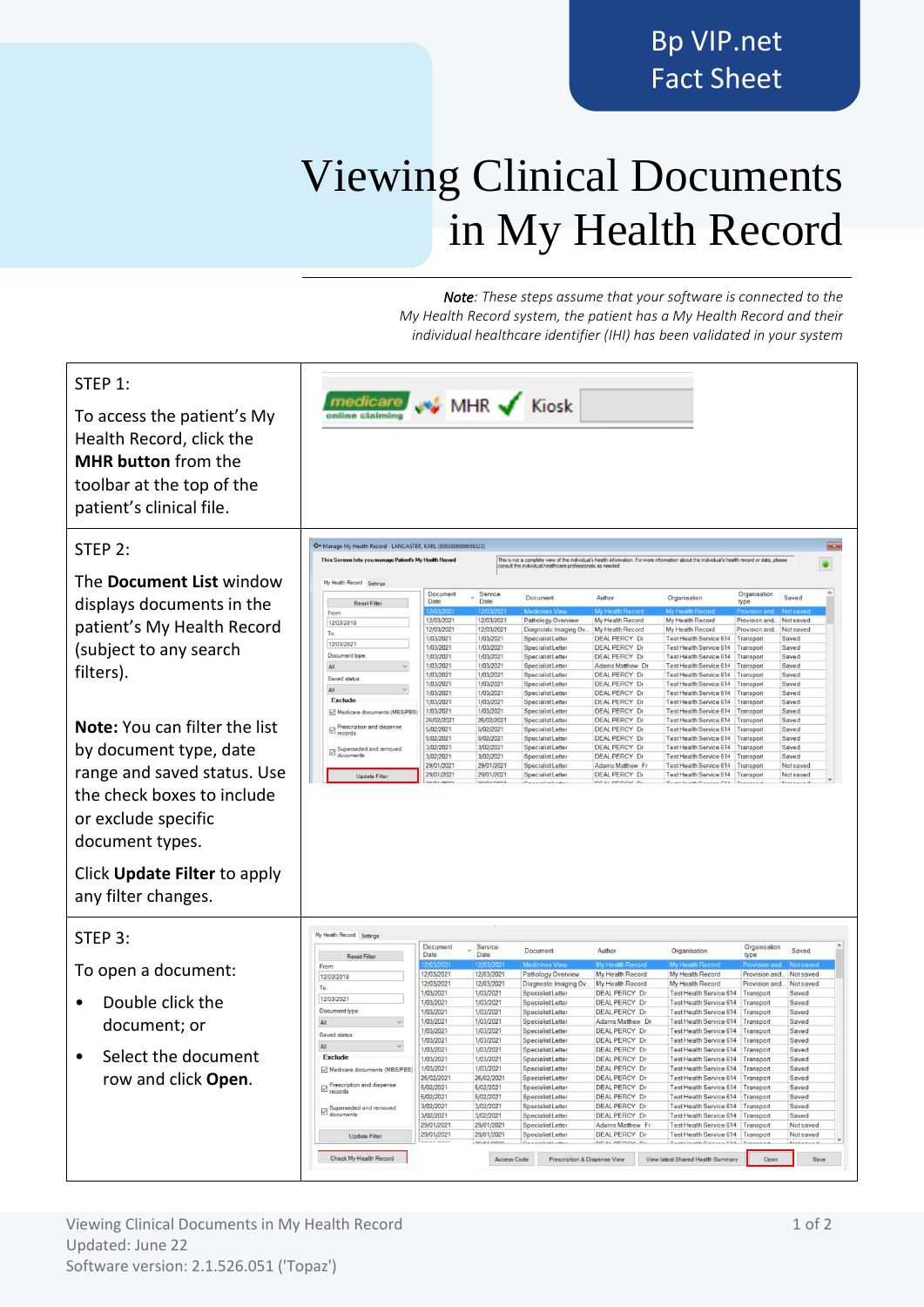## Viewing Clinical Documents in My Health Record

*Note: These steps assume that your software is connected to the My Health Record system, the patient has a My Health Record and their individual healthcare identifier (IHI) has been validated in your system*

| STEP 1:<br>To access the patient's My<br>Health Record, click the<br><b>MHR button from the</b><br>toolbar at the top of the<br>patient's clinical file. |                                                                                                                          |                          |                          | <b>WE MHR</b> Kiosk                                       |                                              |                                                                                                                                               |                        |                        |
|----------------------------------------------------------------------------------------------------------------------------------------------------------|--------------------------------------------------------------------------------------------------------------------------|--------------------------|--------------------------|-----------------------------------------------------------|----------------------------------------------|-----------------------------------------------------------------------------------------------------------------------------------------------|------------------------|------------------------|
| STEP 2:                                                                                                                                                  | C Manage My Health Record - LANCASTER, KARL (8003608666696323)<br>This Screen lets you manage Patient's My Health Record |                          |                          |                                                           |                                              | This is not a complete view of the individual's health information. For more information about the individual's health record or data, please |                        | $-x$                   |
| The Document List window                                                                                                                                 | My Health Record Settings                                                                                                |                          |                          | consult the individual healthcare professionals as needed |                                              |                                                                                                                                               |                        | 0                      |
| displays documents in the                                                                                                                                | <b>Reset Filte</b>                                                                                                       | Document<br>Date         | Service<br>Date          | Document                                                  | Author                                       | Organisation                                                                                                                                  | Organisation<br>type   | Saved                  |
|                                                                                                                                                          | From:                                                                                                                    |                          |                          |                                                           |                                              |                                                                                                                                               |                        |                        |
| patient's My Health Record                                                                                                                               | 12/03/2019                                                                                                               | 12/03/2021               | 12/03/2021               | Pathology Overview                                        | My Health Record                             | My Health Record                                                                                                                              | Provision and          | Not saved              |
|                                                                                                                                                          | To:                                                                                                                      | 12/03/2021<br>1/03/2021  | 12/03/2021<br>1/03/2021  | Diagnostic Imaging Ov.<br>Specialist Letter               | My Health Record<br><b>DEAL PERCY Dr</b>     | My Health Record<br>Test Health Service 614 Transport                                                                                         | Provision and          | Not saved<br>Saved     |
| (subject to any search                                                                                                                                   | 12/03/2021                                                                                                               | 1/03/2021                | 1/03/2021                | Specialist Letter                                         | <b>DEAL PERCY Dr</b>                         | Test Health Service 614 Transport                                                                                                             |                        | Saved                  |
|                                                                                                                                                          | Document type                                                                                                            | 1/03/2021                | 1/03/2021                | Specialist Letter                                         | <b>DEAL PERCY Dr</b>                         | Test Health Service 614                                                                                                                       | Transport              | Saved                  |
| filters).                                                                                                                                                | All                                                                                                                      | 1/03/2021                | 1/03/2021                | Specialist Letter                                         | Adams Matthew Dr                             | Test Health Service 614 Transport                                                                                                             |                        | Saved                  |
|                                                                                                                                                          | Saved status                                                                                                             | 1/03/2021<br>1/03/2021   | 1/03/2021<br>1/03/2021   | Specialist Letter<br>Specialist Letter                    | <b>DEAL PERCY Dr</b><br><b>DEAL PERCY Dr</b> | Test Health Service 614<br>Test Health Service 614                                                                                            | Transport<br>Transport | Saved<br>Saved         |
|                                                                                                                                                          | All                                                                                                                      | 1/03/2021                | 1/03/2021                | Specialist Letter                                         | <b>DEAL PERCY Dr</b>                         | Test Health Service 614 Transport                                                                                                             |                        | Saved                  |
|                                                                                                                                                          | <b>Exclude</b>                                                                                                           | 1/03/2021                | 1/03/2021                | Specialist Letter                                         | <b>DEAL PERCY Dr</b>                         | Test Health Service 614 Transport                                                                                                             |                        | Saved                  |
|                                                                                                                                                          | Medicare documents (MBS/PBS)                                                                                             | 1/03/2021                | 1/03/2021                | Specialist Letter<br>Specialist Letter                    | DEAL PERCY Dr                                | Test Health Service 614 Transport                                                                                                             |                        | Saved                  |
| <b>Note:</b> You can filter the list                                                                                                                     | $\Box$ Prescription and dispense                                                                                         | 26/02/2021<br>5/02/2021  | 26/02/2021<br>5/02/2021  | Specialist Letter                                         | <b>DEAL PERCY Dr</b><br>DEAL PERCY Dr        | Test Health Service 614<br>Test Health Service 614                                                                                            | Transport<br>Transport | Saved<br>Saved         |
|                                                                                                                                                          |                                                                                                                          | 5/02/2021                | 5/02/2021                | Specialist Letter                                         | <b>DEAL PERCY Dr</b>                         | Test Health Service 614                                                                                                                       | Transport              | Saved                  |
| by document type, date                                                                                                                                   | $\boxdot$ Superseded and removed<br>documents                                                                            | 3/02/2021                | 3/02/2021                | Specialist Letter                                         | <b>DEAL PERCY Dr</b>                         | Test Health Service 614                                                                                                                       | Transport              | Saved                  |
|                                                                                                                                                          |                                                                                                                          | 3/02/2021                | 3/02/2021                | Specialist Letter                                         | <b>DEAL PERCY Dr</b>                         | Test Health Service 614 Transport<br>Test Health Service 614 Transport                                                                        |                        | Saved                  |
| range and saved status. Use                                                                                                                              | Update Filter                                                                                                            | 29/01/2021<br>29/01/2021 | 29/01/2021<br>29/01/2021 | Specialist Letter<br>Specialist Letter                    | Adams Matthew Fr<br><b>DEAL PERCY Dr</b>     | Test Health Service 614 Transport                                                                                                             |                        | Not saved<br>Not saved |
|                                                                                                                                                          |                                                                                                                          |                          | 10/01/2021               |                                                           | DEAL BEBOY D.                                | Trailleagh Capital Ctd.                                                                                                                       |                        |                        |
| the check boxes to include                                                                                                                               |                                                                                                                          |                          |                          |                                                           |                                              |                                                                                                                                               |                        |                        |
|                                                                                                                                                          |                                                                                                                          |                          |                          |                                                           |                                              |                                                                                                                                               |                        |                        |
| or exclude specific                                                                                                                                      |                                                                                                                          |                          |                          |                                                           |                                              |                                                                                                                                               |                        |                        |
|                                                                                                                                                          |                                                                                                                          |                          |                          |                                                           |                                              |                                                                                                                                               |                        |                        |
| document types.                                                                                                                                          |                                                                                                                          |                          |                          |                                                           |                                              |                                                                                                                                               |                        |                        |
|                                                                                                                                                          |                                                                                                                          |                          |                          |                                                           |                                              |                                                                                                                                               |                        |                        |
|                                                                                                                                                          |                                                                                                                          |                          |                          |                                                           |                                              |                                                                                                                                               |                        |                        |
| Click <b>Update Filter</b> to apply                                                                                                                      |                                                                                                                          |                          |                          |                                                           |                                              |                                                                                                                                               |                        |                        |
|                                                                                                                                                          |                                                                                                                          |                          |                          |                                                           |                                              |                                                                                                                                               |                        |                        |
| any filter changes.                                                                                                                                      |                                                                                                                          |                          |                          |                                                           |                                              |                                                                                                                                               |                        |                        |
|                                                                                                                                                          |                                                                                                                          |                          |                          |                                                           |                                              |                                                                                                                                               |                        |                        |
|                                                                                                                                                          |                                                                                                                          |                          |                          |                                                           |                                              |                                                                                                                                               |                        |                        |
| STEP 3:                                                                                                                                                  | My Health Record Settings                                                                                                |                          |                          |                                                           |                                              |                                                                                                                                               |                        |                        |
|                                                                                                                                                          |                                                                                                                          | Document                 | Service                  | Document                                                  | Author                                       | Organisation                                                                                                                                  | Organisation           | Saved                  |
|                                                                                                                                                          | <b>Reset Filte</b>                                                                                                       | Date                     | Date                     |                                                           |                                              |                                                                                                                                               | type                   |                        |
| To open a document:                                                                                                                                      | From:                                                                                                                    | 12/03/2021               | 12/03/2021               | Pathology Overview                                        | Mv H<br>My Health Record                     | My Health Record                                                                                                                              | Provision and.         | Not saved              |
|                                                                                                                                                          | 12/03/2019<br>To:                                                                                                        | 12/03/2021               | 12/03/2021               | Diagnostic Imaging Ov.                                    | My Health Record                             | My Health Record                                                                                                                              | Provision and          | Not saved              |
|                                                                                                                                                          | 12/03/2021                                                                                                               | 1/03/2021                | 1/03/2021                | Specialist Letter                                         | <b>DEAL PERCY Dr</b>                         | Test Health Service 614                                                                                                                       | Transpor               | Saved                  |
| Double click the                                                                                                                                         |                                                                                                                          | 1/03/2021                | 1/03/2021                | Specialist Letter                                         | <b>DEAL PERCY Dr</b>                         | Test Health Service 614                                                                                                                       | Transpor               | Saved                  |
|                                                                                                                                                          | Document type                                                                                                            | 1/03/2021<br>1/03/2021   | 1/03/2021<br>1/03/2021   | Specialist Letter<br>Specialist Letter                    | <b>DEAL PERCY Dr</b><br>Adams Matthew D      | Test Health Service 614<br>Test Health Service 614                                                                                            | Transport<br>Transport | Saved<br>Saved         |
| document; or                                                                                                                                             | All                                                                                                                      | 1/03/2021                | 1/03/2021                | Specialist Letter                                         | <b>DEAL PERCY Dr</b>                         | Test Health Service 614                                                                                                                       | Transport              | Saved                  |
|                                                                                                                                                          | Saved status                                                                                                             | 1/03/2021                | 1/03/2021                | Specialist Letter                                         | <b>DEAL PERCY Dr</b>                         | Test Health Service 614                                                                                                                       | Transport              | Saved                  |
|                                                                                                                                                          | All                                                                                                                      | 1/03/2021                | 1/03/2021                | Specialist Letter                                         | <b>DEAL PERCY Dr</b>                         | Test Health Service 614 Transport                                                                                                             |                        | Saved                  |
| Select the document                                                                                                                                      | <b>Exclude</b>                                                                                                           | 1/03/2021                | 1/03/2021                | Specialist Letter                                         | DEAL PERCY Dr                                | Test Health Service 614                                                                                                                       |                        | Saved                  |
|                                                                                                                                                          | Medicare documents (MBS/PBS)                                                                                             | 1/03/2021                | 1/03/2021                | Specialist Letter                                         | DEAL PERCY Dr                                | Test Health Service 614 Transport                                                                                                             |                        | Saved                  |
| row and click <b>Open</b> .                                                                                                                              | $\boxdot$ Prescription and dispense<br>records                                                                           | 26/02/2021<br>5/02/2021  | 26/02/2021<br>5/02/2021  | Specialist Letter<br>Specialist Letter                    | <b>DEAL PERCY Dr</b><br>DEAL PERCY Dr        | Test Health Service 614   Transport<br>Test Health Service 614                                                                                | Transport              | Saved<br>Saved         |
|                                                                                                                                                          |                                                                                                                          | 5/02/2021                | 5/02/2021                | Specialist Letter                                         | DEAL PERCY Dr                                | Test Health Service 614                                                                                                                       | Transport              | Saved                  |
|                                                                                                                                                          | $\boxed{\square}_{\text{documents}}$                                                                                     | 3/02/2021                | 3/02/2021                | Specialist Letter                                         | DEAL PERCY Dr                                | Test Health Service 614                                                                                                                       | Transport              | Saved                  |
|                                                                                                                                                          |                                                                                                                          | 3/02/2021                | 3/02/2021                | Specialist Letter                                         | DEAL PERCY Dr                                | Test Health Service 614                                                                                                                       | Transport              | Saved                  |
|                                                                                                                                                          |                                                                                                                          | 29/01/2021<br>29/01/2021 | 29/01/2021<br>29/01/2021 | Specialist Letter<br>Specialist Letter                    | Adams Matthew Fr<br><b>DEAL PERCY Dr</b>     | Test Health Service 614 Transport<br>Test Health Service 614 Transport                                                                        |                        | Not saved<br>Not saved |
|                                                                                                                                                          | Update Filter                                                                                                            |                          | no ins innos             | Canalatint Latter                                         | DEAL DEDOV D.                                | Tastlesk Casics CLL T                                                                                                                         |                        | Alas.                  |
|                                                                                                                                                          | Check My Health Record                                                                                                   |                          |                          |                                                           |                                              |                                                                                                                                               |                        |                        |
|                                                                                                                                                          |                                                                                                                          |                          | Access Code              | Prescription & Dispense View                              |                                              | View latest Shared Health Summary                                                                                                             | Open                   | Save                   |
|                                                                                                                                                          |                                                                                                                          |                          |                          |                                                           |                                              |                                                                                                                                               |                        |                        |

Viewing Clinical Documents in My Health Record 1 of 2 Updated: June 22 Software version: 2.1.526.051 ('Topaz')